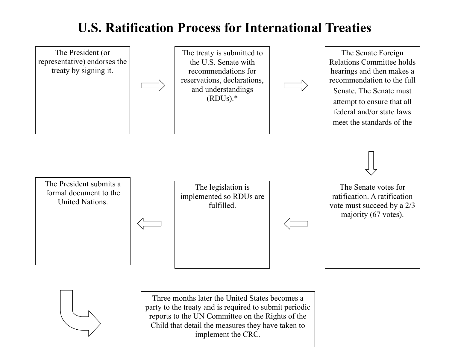## **U.S. Ratification Process for International Treaties**





Three months later the United States becomes a party to the treaty and is required to submit periodic reports to the UN Committee on the Rights of the Child that detail the measures they have taken to implement the CRC*.*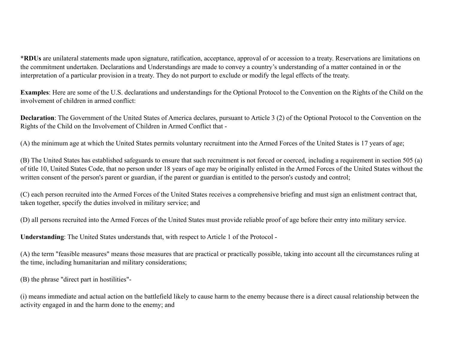\***RDUs** are unilateral statements made upon signature, ratification, acceptance, approval of or accession to a treaty. Reservations are limitations on the commitment undertaken. Declarations and Understandings are made to convey a country's understanding of a matter contained in or the interpretation of a particular provision in a treaty. They do not purport to exclude or modify the legal effects of the treaty.

**Examples**: Here are some of the U.S. declarations and understandings for the Optional Protocol to the Convention on the Rights of the Child on the involvement of children in armed conflict:

**Declaration**: The Government of the United States of America declares, pursuant to Article 3 (2) of the Optional Protocol to the Convention on the Rights of the Child on the Involvement of Children in Armed Conflict that -

(A) the minimum age at which the United States permits voluntary recruitment into the Armed Forces of the United States is 17 years of age;

(B) The United States has established safeguards to ensure that such recruitment is not forced or coerced, including a requirement in section 505 (a) of title 10, United States Code, that no person under 18 years of age may be originally enlisted in the Armed Forces of the United States without the written consent of the person's parent or guardian, if the parent or guardian is entitled to the person's custody and control;

(C) each person recruited into the Armed Forces of the United States receives a comprehensive briefing and must sign an enlistment contract that, taken together, specify the duties involved in military service; and

(D) all persons recruited into the Armed Forces of the United States must provide reliable proof of age before their entry into military service.

**Understanding**: The United States understands that, with respect to Article 1 of the Protocol -

(A) the term "feasible measures" means those measures that are practical or practically possible, taking into account all the circumstances ruling at the time, including humanitarian and military considerations;

(B) the phrase "direct part in hostilities"-

(i) means immediate and actual action on the battlefield likely to cause harm to the enemy because there is a direct causal relationship between the activity engaged in and the harm done to the enemy; and